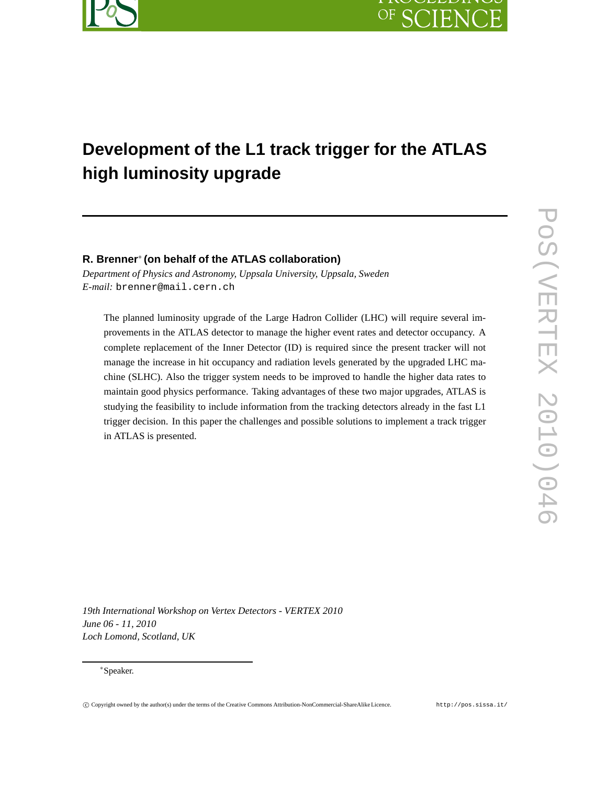

# **Development of the L1 track trigger for the ATLAS high luminosity upgrade**

## **R. Brenner**∗ **(on behalf of the ATLAS collaboration)**

*Department of Physics and Astronomy, Uppsala University, Uppsala, Sweden E-mail:* brenner@mail.cern.ch

The planned luminosity upgrade of the Large Hadron Collider (LHC) will require several improvements in the ATLAS detector to manage the higher event rates and detector occupancy. A complete replacement of the Inner Detector (ID) is required since the present tracker will not manage the increase in hit occupancy and radiation levels generated by the upgraded LHC machine (SLHC). Also the trigger system needs to be improved to handle the higher data rates to maintain good physics performance. Taking advantages of these two major upgrades, ATLAS is studying the feasibility to include information from the tracking detectors already in the fast L1 trigger decision. In this paper the challenges and possible solutions to implement a track trigger in ATLAS is presented.

*19th International Workshop on Vertex Detectors - VERTEX 2010 June 06 - 11, 2010 Loch Lomond, Scotland, UK*

<sup>∗</sup>Speaker.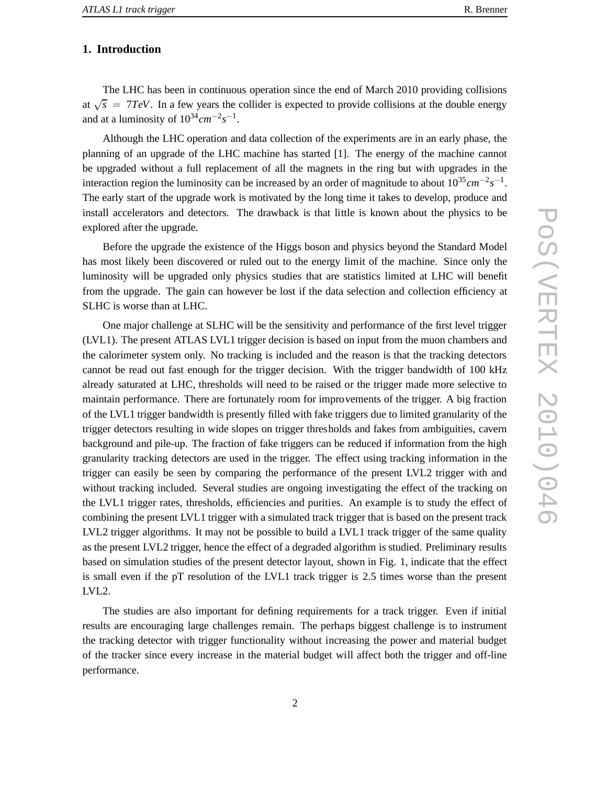## **1. Introduction**

The LHC has been in continuous operation since the end of March 2010 providing collisions at  $\sqrt{s}$  = 7*TeV*. In a few years the collider is expected to provide collisions at the double energy and at a luminosity of  $10^{34}$  *cm*<sup>-2</sup> *s*<sup>-1</sup>.

Although the LHC operation and data collection of the experiments are in an early phase, the planning of an upgrade of the LHC machine has started [1]. The energy of the machine cannot be upgraded without a full replacement of all the magnets in the ring but with upgrades in the interaction region the luminosity can be increased by an order of magnitude to about 10<sup>35</sup>*cm*<sup>−2</sup>*s*<sup>−1</sup>. The early start of the upgrade work is motivated by the long time it takes to develop, produce and install accelerators and detectors. The drawback is that little is known about the physics to be explored after the upgrade.

Before the upgrade the existence of the Higgs boson and physics beyond the Standard Model has most likely been discovered or ruled out to the energy limit of the machine. Since only the luminosity will be upgraded only physics studies that are statistics limited at LHC will benefit from the upgrade. The gain can however be lost if the data selection and collection efficiency at SLHC is worse than at LHC.

One major challenge at SLHC will be the sensitivity and performance of the first level trigger (LVL1). The present ATLAS LVL1 trigger decision is based on input from the muon chambers and the calorimeter system only. No tracking is included and the reason is that the tracking detectors cannot be read out fast enough for the trigger decision. With the trigger bandwidth of 100 kHz already saturated at LHC, thresholds will need to be raised or the trigger made more selective to maintain performance. There are fortunately room for improvements of the trigger. A big fraction of the LVL1 trigger bandwidth is presently filled with fake triggers due to limited granularity of the trigger detectors resulting in wide slopes on trigger thresholds and fakes from ambiguities, cavern background and pile-up. The fraction of fake triggers can be reduced if information from the high granularity tracking detectors are used in the trigger. The effect using tracking information in the trigger can easily be seen by comparing the performance of the present LVL2 trigger with and without tracking included. Several studies are ongoing investigating the effect of the tracking on the LVL1 trigger rates, thresholds, efficiencies and purities. An example is to study the effect of combining the present LVL1 trigger with a simulated track trigger that is based on the present track LVL2 trigger algorithms. It may not be possible to build a LVL1 track trigger of the same quality as the present LVL2 trigger, hence the effect of a degraded algorithm is studied. Preliminary results based on simulation studies of the present detector layout, shown in Fig. 1, indicate that the effect is small even if the pT resolution of the LVL1 track trigger is 2.5 times worse than the present LVL2.

The studies are also important for defining requirements for a track trigger. Even if initial results are encouraging large challenges remain. The perhaps biggest challenge is to instrument the tracking detector with trigger functionality without increasing the power and material budget of the tracker since every increase in the material budget will affect both the trigger and off-line performance.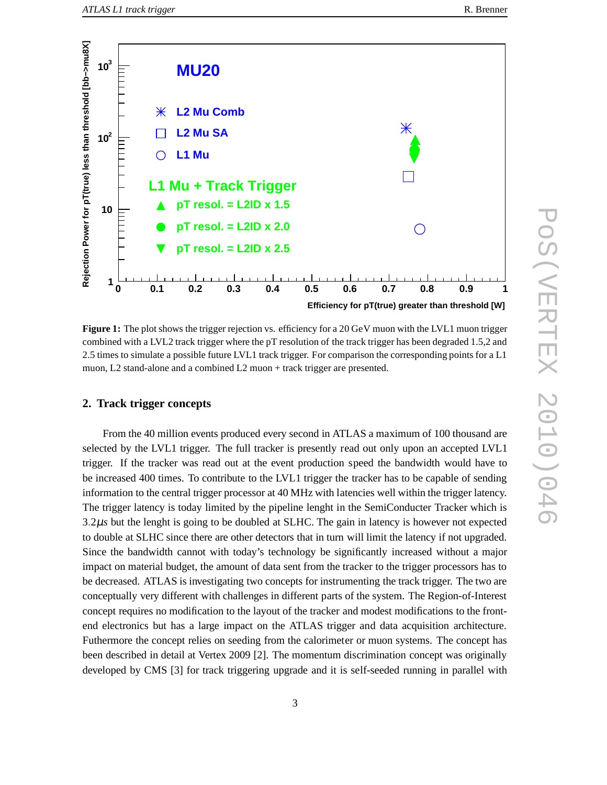



**Figure 1:** The plot shows the trigger rejection vs. efficiency for a 20 GeV muon with the LVL1 muon trigger combined with a LVL2 track trigger where the pT resolution of the track trigger has been degraded 1.5,2 and 2.5 times to simulate a possible future LVL1 track trigger. For comparison the corresponding points for a L1 muon, L2 stand-alone and a combined L2 muon + track trigger are presented.

### **2. Track trigger concepts**

From the 40 million events produced every second in ATLAS a maximum of 100 thousand are selected by the LVL1 trigger. The full tracker is presently read out only upon an accepted LVL1 trigger. If the tracker was read out at the event production speed the bandwidth would have to be increased 400 times. To contribute to the LVL1 trigger the tracker has to be capable of sending information to the central trigger processor at 40 MHz with latencies well within the trigger latency. The trigger latency is today limited by the pipeline lenght in the SemiConducter Tracker which is 3.2µ*s* but the lenght is going to be doubled at SLHC. The gain in latency is however not expected to double at SLHC since there are other detectors that in turn will limit the latency if not upgraded. Since the bandwidth cannot with today's technology be significantly increased without a major impact on material budget, the amount of data sent from the tracker to the trigger processors has to be decreased. ATLAS is investigating two concepts for instrumenting the track trigger. The two are conceptually very different with challenges in different parts of the system. The Region-of-Interest concept requires no modification to the layout of the tracker and modest modifications to the frontend electronics but has a large impact on the ATLAS trigger and data acquisition architecture. Futhermore the concept relies on seeding from the calorimeter or muon systems. The concept has been described in detail at Vertex 2009 [2]. The momentum discrimination concept was originally developed by CMS [3] for track triggering upgrade and it is self-seeded running in parallel with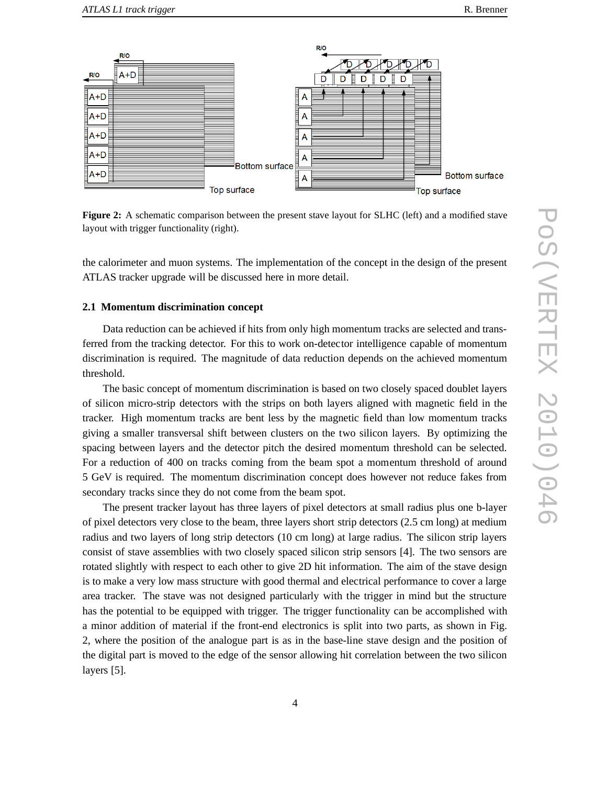

**Figure 2:** A schematic comparison between the present stave layout for SLHC (left) and a modified stave layout with trigger functionality (right).

the calorimeter and muon systems. The implementation of the concept in the design of the present ATLAS tracker upgrade will be discussed here in more detail.

#### **2.1 Momentum discrimination concept**

Data reduction can be achieved if hits from only high momentum tracks are selected and transferred from the tracking detector. For this to work on-detector intelligence capable of momentum discrimination is required. The magnitude of data reduction depends on the achieved momentum threshold.

The basic concept of momentum discrimination is based on two closely spaced doublet layers of silicon micro-strip detectors with the strips on both layers aligned with magnetic field in the tracker. High momentum tracks are bent less by the magnetic field than low momentum tracks giving a smaller transversal shift between clusters on the two silicon layers. By optimizing the spacing between layers and the detector pitch the desired momentum threshold can be selected. For a reduction of 400 on tracks coming from the beam spot a momentum threshold of around 5 GeV is required. The momentum discrimination concept does however not reduce fakes from secondary tracks since they do not come from the beam spot.

The present tracker layout has three layers of pixel detectors at small radius plus one b-layer of pixel detectors very close to the beam, three layers short strip detectors (2.5 cm long) at medium radius and two layers of long strip detectors (10 cm long) at large radius. The silicon strip layers consist of stave assemblies with two closely spaced silicon strip sensors [4]. The two sensors are rotated slightly with respect to each other to give 2D hit information. The aim of the stave design is to make a very low mass structure with good thermal and electrical performance to cover a large area tracker. The stave was not designed particularly with the trigger in mind but the structure has the potential to be equipped with trigger. The trigger functionality can be accomplished with a minor addition of material if the front-end electronics is split into two parts, as shown in Fig. 2, where the position of the analogue part is as in the base-line stave design and the position of the digital part is moved to the edge of the sensor allowing hit correlation between the two silicon layers [5].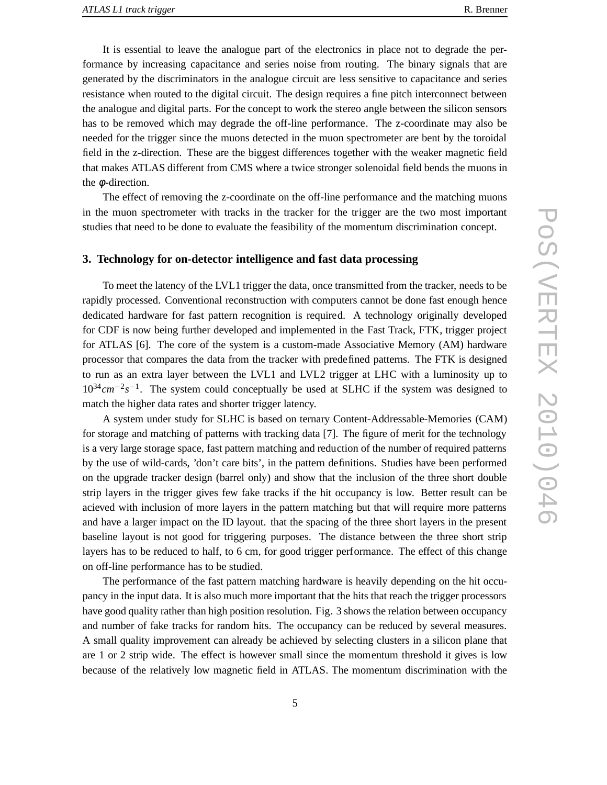It is essential to leave the analogue part of the electronics in place not to degrade the performance by increasing capacitance and series noise from routing. The binary signals that are generated by the discriminators in the analogue circuit are less sensitive to capacitance and series resistance when routed to the digital circuit. The design requires a fine pitch interconnect between the analogue and digital parts. For the concept to work the stereo angle between the silicon sensors has to be removed which may degrade the off-line performance. The z-coordinate may also be needed for the trigger since the muons detected in the muon spectrometer are bent by the toroidal field in the z-direction. These are the biggest differences together with the weaker magnetic field that makes ATLAS different from CMS where a twice stronger solenoidal field bends the muons in the φ-direction.

The effect of removing the z-coordinate on the off-line performance and the matching muons in the muon spectrometer with tracks in the tracker for the trigger are the two most important studies that need to be done to evaluate the feasibility of the momentum discrimination concept.

#### **3. Technology for on-detector intelligence and fast data processing**

To meet the latency of the LVL1 trigger the data, once transmitted from the tracker, needs to be rapidly processed. Conventional reconstruction with computers cannot be done fast enough hence dedicated hardware for fast pattern recognition is required. A technology originally developed for CDF is now being further developed and implemented in the Fast Track, FTK, trigger project for ATLAS [6]. The core of the system is a custom-made Associative Memory (AM) hardware processor that compares the data from the tracker with predefined patterns. The FTK is designed to run as an extra layer between the LVL1 and LVL2 trigger at LHC with a luminosity up to  $10^{34}$  cm<sup>-2</sup>s<sup>-1</sup>. The system could conceptually be used at SLHC if the system was designed to match the higher data rates and shorter trigger latency.

A system under study for SLHC is based on ternary Content-Addressable-Memories (CAM) for storage and matching of patterns with tracking data [7]. The figure of merit for the technology is a very large storage space, fast pattern matching and reduction of the number of required patterns by the use of wild-cards, 'don't care bits', in the pattern definitions. Studies have been performed on the upgrade tracker design (barrel only) and show that the inclusion of the three short double strip layers in the trigger gives few fake tracks if the hit occupancy is low. Better result can be acieved with inclusion of more layers in the pattern matching but that will require more patterns and have a larger impact on the ID layout. that the spacing of the three short layers in the present baseline layout is not good for triggering purposes. The distance between the three short strip layers has to be reduced to half, to 6 cm, for good trigger performance. The effect of this change on off-line performance has to be studied.

The performance of the fast pattern matching hardware is heavily depending on the hit occupancy in the input data. It is also much more important that the hits that reach the trigger processors have good quality rather than high position resolution. Fig. 3 shows the relation between occupancy and number of fake tracks for random hits. The occupancy can be reduced by several measures. A small quality improvement can already be achieved by selecting clusters in a silicon plane that are 1 or 2 strip wide. The effect is however small since the momentum threshold it gives is low because of the relatively low magnetic field in ATLAS. The momentum discrimination with the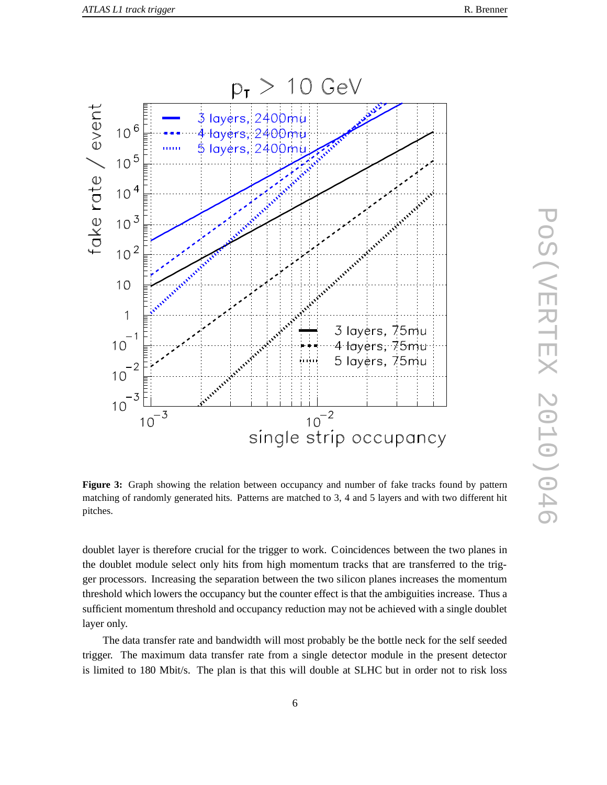

**Figure 3:** Graph showing the relation between occupancy and number of fake tracks found by pattern matching of randomly generated hits. Patterns are matched to 3, 4 and 5 layers and with two different hit pitches.

doublet layer is therefore crucial for the trigger to work. Coincidences between the two planes in the doublet module select only hits from high momentum tracks that are transferred to the trigger processors. Increasing the separation between the two silicon planes increases the momentum threshold which lowers the occupancy but the counter effect is that the ambiguities increase. Thus a sufficient momentum threshold and occupancy reduction may not be achieved with a single doublet layer only.

The data transfer rate and bandwidth will most probably be the bottle neck for the self seeded trigger. The maximum data transfer rate from a single detector module in the present detector is limited to 180 Mbit/s. The plan is that this will double at SLHC but in order not to risk loss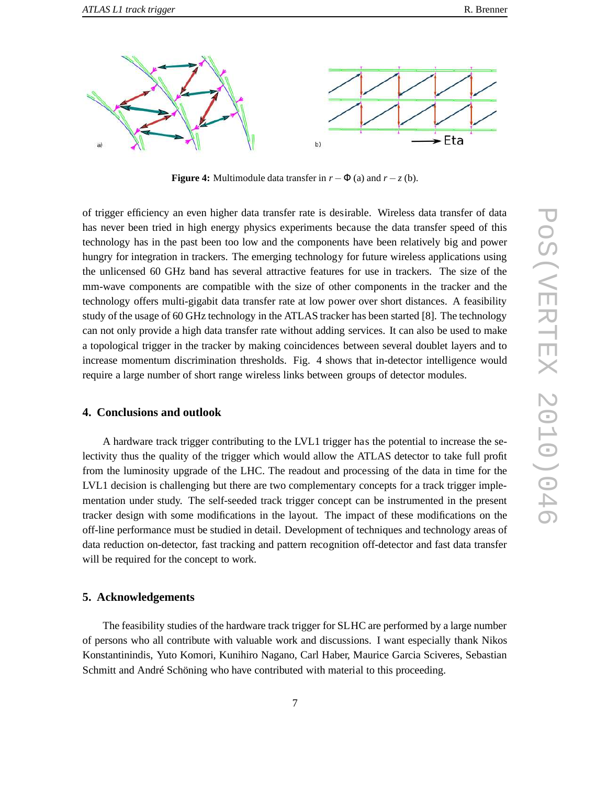

**Figure 4:** Multimodule data transfer in  $r - \Phi$  (a) and  $r - z$  (b).

of trigger efficiency an even higher data transfer rate is desirable. Wireless data transfer of data has never been tried in high energy physics experiments because the data transfer speed of this technology has in the past been too low and the components have been relatively big and power hungry for integration in trackers. The emerging technology for future wireless applications using the unlicensed 60 GHz band has several attractive features for use in trackers. The size of the mm-wave components are compatible with the size of other components in the tracker and the technology offers multi-gigabit data transfer rate at low power over short distances. A feasibility study of the usage of 60 GHz technology in the ATLAS tracker has been started [8]. The technology can not only provide a high data transfer rate without adding services. It can also be used to make a topological trigger in the tracker by making coincidences between several doublet layers and to increase momentum discrimination thresholds. Fig. 4 shows that in-detector intelligence would require a large number of short range wireless links between groups of detector modules.

#### **4. Conclusions and outlook**

A hardware track trigger contributing to the LVL1 trigger has the potential to increase the selectivity thus the quality of the trigger which would allow the ATLAS detector to take full profit from the luminosity upgrade of the LHC. The readout and processing of the data in time for the LVL1 decision is challenging but there are two complementary concepts for a track trigger implementation under study. The self-seeded track trigger concept can be instrumented in the present tracker design with some modifications in the layout. The impact of these modifications on the off-line performance must be studied in detail. Development of techniques and technology areas of data reduction on-detector, fast tracking and pattern recognition off-detector and fast data transfer will be required for the concept to work.

#### **5. Acknowledgements**

The feasibility studies of the hardware track trigger for SLHC are performed by a large number of persons who all contribute with valuable work and discussions. I want especially thank Nikos Konstantinindis, Yuto Komori, Kunihiro Nagano, Carl Haber, Maurice Garcia Sciveres, Sebastian Schmitt and André Schöning who have contributed with material to this proceeding.